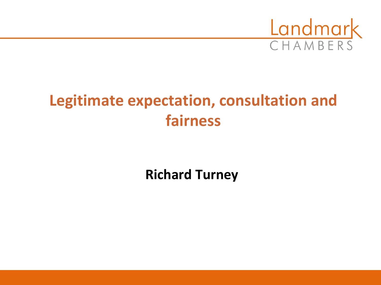

# **Legitimate expectation, consultation and fairness**

**Richard Turney**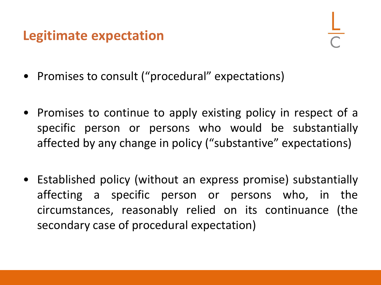### **Legitimate expectation**

- Promises to consult ("procedural" expectations)
- Promises to continue to apply existing policy in respect of a specific person or persons who would be substantially affected by any change in policy ("substantive" expectations)
- Established policy (without an express promise) substantially affecting a specific person or persons who, in the circumstances, reasonably relied on its continuance (the secondary case of procedural expectation)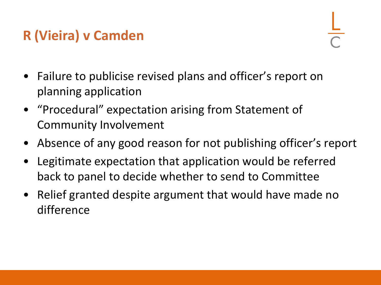### **R (Vieira) v Camden**

- Failure to publicise revised plans and officer's report on planning application
- "Procedural" expectation arising from Statement of Community Involvement
- Absence of any good reason for not publishing officer's report
- Legitimate expectation that application would be referred back to panel to decide whether to send to Committee
- Relief granted despite argument that would have made no difference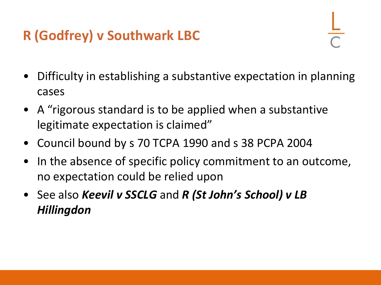## **R (Godfrey) v Southwark LBC**

- Difficulty in establishing a substantive expectation in planning cases
- A "rigorous standard is to be applied when a substantive legitimate expectation is claimed"
- Council bound by s 70 TCPA 1990 and s 38 PCPA 2004
- In the absence of specific policy commitment to an outcome, no expectation could be relied upon
- See also *Keevil v SSCLG* and *R (St John's School) v LB Hillingdon*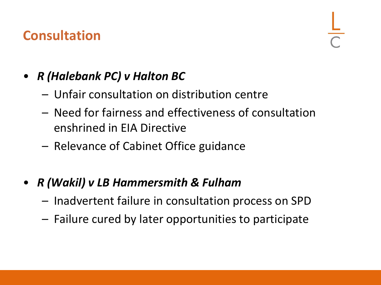### **Consultation**

### • *R (Halebank PC) v Halton BC*

- Unfair consultation on distribution centre
- Need for fairness and effectiveness of consultation enshrined in EIA Directive
- Relevance of Cabinet Office guidance
- *R (Wakil) v LB Hammersmith & Fulham*
	- Inadvertent failure in consultation process on SPD
	- Failure cured by later opportunities to participate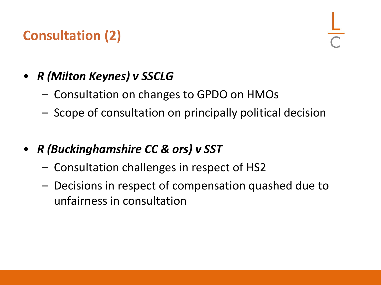### **Consultation (2)**

### • *R (Milton Keynes) v SSCLG*

- Consultation on changes to GPDO on HMOs
- Scope of consultation on principally political decision
- *R (Buckinghamshire CC & ors) v SST*
	- Consultation challenges in respect of HS2
	- Decisions in respect of compensation quashed due to unfairness in consultation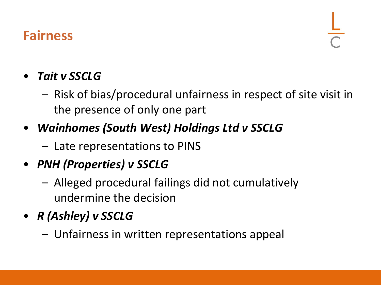### **Fairness**

#### • *Tait v SSCLG*

- Risk of bias/procedural unfairness in respect of site visit in the presence of only one part
- *Wainhomes (South West) Holdings Ltd v SSCLG*
	- Late representations to PINS
- *PNH (Properties) v SSCLG*
	- Alleged procedural failings did not cumulatively undermine the decision
- *R (Ashley) v SSCLG*
	- Unfairness in written representations appeal